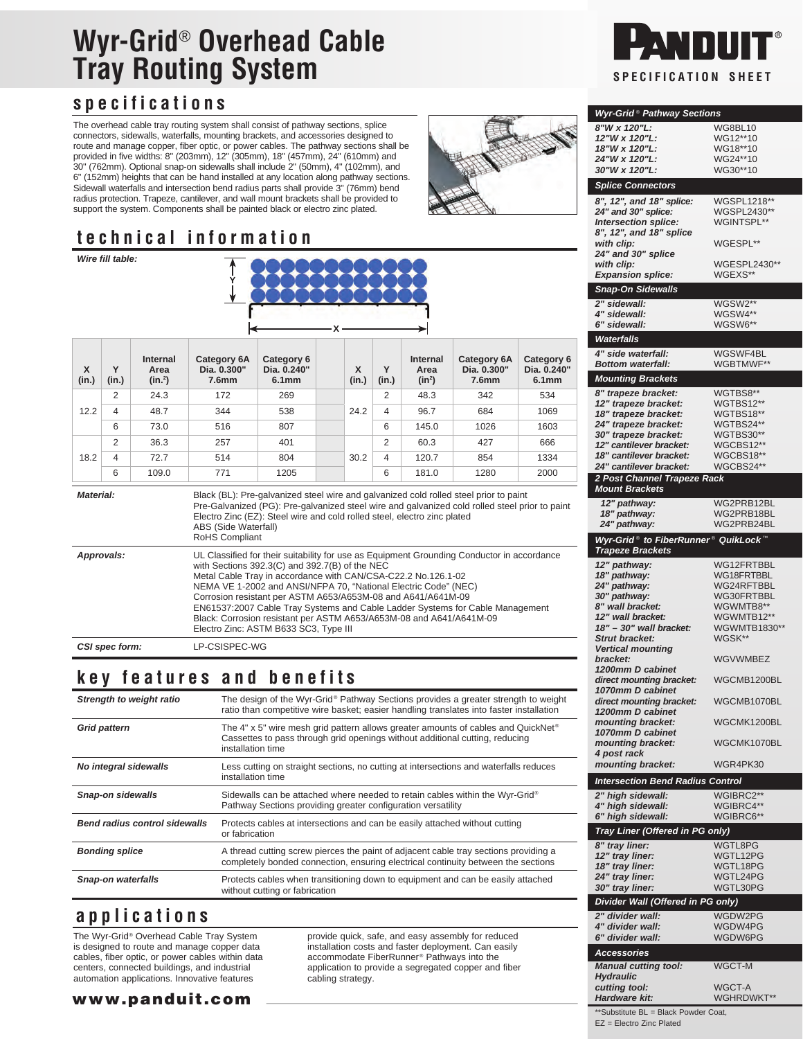# **Wyr-Grid**® **Overhead Cable Tray Routing System SPECIFICATION** SPECIFICATION SHEET

## **specifications**

The overhead cable tray routing system shall consist of pathway sections, splice connectors, sidewalls, waterfalls, mounting brackets, and accessories designed to route and manage copper, fiber optic, or power cables. The pathway sections shall be provided in five widths: 8" (203mm), 12" (305mm), 18" (457mm), 24" (610mm) and 30" (762mm). Optional snap-on sidewalls shall include 2" (50mm), 4" (102mm), and 6" (152mm) heights that can be hand installed at any location along pathway sections. Sidewall waterfalls and intersection bend radius parts shall provide 3" (76mm) bend radius protection. Trapeze, cantilever, and wall mount brackets shall be provided to support the system. Components shall be painted black or electro zinc plated.

## **technical information**

| Wire fill table:             |                |                           |                                                                                                                                                                                                                                                                                                                                                                                                                                                                                                                                                                    |                                    |  |            |                |                              |                                                 |                                                |  |
|------------------------------|----------------|---------------------------|--------------------------------------------------------------------------------------------------------------------------------------------------------------------------------------------------------------------------------------------------------------------------------------------------------------------------------------------------------------------------------------------------------------------------------------------------------------------------------------------------------------------------------------------------------------------|------------------------------------|--|------------|----------------|------------------------------|-------------------------------------------------|------------------------------------------------|--|
| $\mathsf{x}$<br>(in.)        | Y<br>(in.)     | Internal<br>Area<br>(in.) | <b>Category 6A</b><br>Dia. 0.300"<br>7.6 <sub>mm</sub>                                                                                                                                                                                                                                                                                                                                                                                                                                                                                                             | Category 6<br>Dia. 0.240"<br>6.1mm |  | X<br>(in.) | Y<br>(in.)     | Internal<br>Area<br>$(in^2)$ | Category 6A<br>Dia. 0.300"<br>7.6 <sub>mm</sub> | Category 6<br>Dia. 0.240"<br>6.1 <sub>mm</sub> |  |
| 12.2                         | 2              | 24.3                      | 172                                                                                                                                                                                                                                                                                                                                                                                                                                                                                                                                                                | 269                                |  | 24.2       | 2              | 48.3                         | 342                                             | 534                                            |  |
|                              | $\overline{4}$ | 48.7                      | 344                                                                                                                                                                                                                                                                                                                                                                                                                                                                                                                                                                | 538                                |  |            | 4              | 96.7                         | 684                                             | 1069                                           |  |
|                              | 6              | 73.0                      | 516                                                                                                                                                                                                                                                                                                                                                                                                                                                                                                                                                                | 807                                |  |            | 6              | 145.0                        | 1026                                            | 1603                                           |  |
| 18.2                         | 2              | 36.3                      | 257                                                                                                                                                                                                                                                                                                                                                                                                                                                                                                                                                                | 401                                |  |            | 2              | 60.3                         | 427                                             | 666                                            |  |
|                              | $\overline{4}$ | 72.7                      | 514                                                                                                                                                                                                                                                                                                                                                                                                                                                                                                                                                                | 804                                |  | 30.2       | $\overline{4}$ | 120.7                        | 854                                             | 1334                                           |  |
|                              | 6              | 109.0                     | 771                                                                                                                                                                                                                                                                                                                                                                                                                                                                                                                                                                | 1205                               |  |            | 6              | 181.0                        | 1280                                            | 2000                                           |  |
| <b>Material:</b>             |                |                           | Black (BL): Pre-galvanized steel wire and galvanized cold rolled steel prior to paint<br>Pre-Galvanized (PG): Pre-galvanized steel wire and galvanized cold rolled steel prior to paint<br>Electro Zinc (EZ): Steel wire and cold rolled steel, electro zinc plated<br>ABS (Side Waterfall)<br>RoHS Compliant                                                                                                                                                                                                                                                      |                                    |  |            |                |                              |                                                 |                                                |  |
| Approvals:<br>CSI spec form: |                |                           | UL Classified for their suitability for use as Equipment Grounding Conductor in accordance<br>with Sections 392.3(C) and 392.7(B) of the NEC<br>Metal Cable Tray in accordance with CAN/CSA-C22.2 No.126.1-02<br>NEMA VE 1-2002 and ANSI/NFPA 70, "National Electric Code" (NEC)<br>Corrosion resistant per ASTM A653/A653M-08 and A641/A641M-09<br>EN61537:2007 Cable Tray Systems and Cable Ladder Systems for Cable Management<br>Black: Corrosion resistant per ASTM A653/A653M-08 and A641/A641M-09<br>Electro Zinc: ASTM B633 SC3, Type III<br>LP-CSISPEC-WG |                                    |  |            |                |                              |                                                 |                                                |  |

## **key features and benefits**

| Strength to weight ratio             | The design of the Wyr-Grid® Pathway Sections provides a greater strength to weight<br>ratio than competitive wire basket; easier handling translates into faster installation                      |
|--------------------------------------|----------------------------------------------------------------------------------------------------------------------------------------------------------------------------------------------------|
| <b>Grid pattern</b>                  | The 4" x 5" wire mesh grid pattern allows greater amounts of cables and QuickNet <sup>®</sup><br>Cassettes to pass through grid openings without additional cutting, reducing<br>installation time |
| No integral sidewalls                | Less cutting on straight sections, no cutting at intersections and waterfalls reduces<br>installation time                                                                                         |
| <b>Snap-on sidewalls</b>             | Sidewalls can be attached where needed to retain cables within the Wyr-Grid®<br>Pathway Sections providing greater configuration versatility                                                       |
| <b>Bend radius control sidewalls</b> | Protects cables at intersections and can be easily attached without cutting<br>or fabrication                                                                                                      |
| <b>Bonding splice</b>                | A thread cutting screw pierces the paint of adjacent cable tray sections providing a<br>completely bonded connection, ensuring electrical continuity between the sections                          |
| Snap-on waterfalls                   | Protects cables when transitioning down to equipment and can be easily attached<br>without cutting or fabrication                                                                                  |

### **applications**

The Wyr-Grid® Overhead Cable Tray System is designed to route and manage copper data cables, fiber optic, or power cables within data centers, connected buildings, and industrial automation applications. Innovative features

www.panduit.com

provide quick, safe, and easy assembly for reduced installation costs and faster deployment. Can easily accommodate FiberRunner® Pathways into the application to provide a segregated copper and fiber cabling strategy.



#### **Wyr-Grid** ® **Pathway Sections 8"W x 120"L:** WG8BL10 **12"W x 120"L:** WG12\*\*10 **18"W x 120"L:** WG18\*\*10 **24"W x 120"L:** WG24\*\*10<br>**30"W x 120"L:** WG30\*\*10 30"W x 120"L: **Splice Connectors 8", 12", and 18" splice:** WGSPL1218\*\* **24" and 30" splice:** WGSPL2430<br>**Intersection splice:** WGINTSPL\* **Intersection splice: 8", 12", and 18" splice with clip:** WGESPL\*\* **24" and 30" splice** WGESPL2430\*\*<br>WGEXS\*\* **Expansion splice: Snap-On Sidewalls 2" sidewall:** WGSW2\*\* **4" sidewall:** WGSW4\*\*<br>**6" sidewall:** WGSW6\*\*  $WGSW6**$ **Waterfalls 4" side waterfall:** WGSWF4BL<br> **Bottom waterfall:** WGBTMWF\*' **Bottom waterfall: Mounting Brackets** 8" trapeze bracket: WGTBS8<sup>\*\*</sup><br>12" trapeze bracket: WGTBS12\*\* 12" trapeze bracket: WGTBS12\*\*<br>18" trapeze bracket: WGTBS18\*\* 18" trapeze bracket: WGTBS18\*\*<br>24" trapeze bracket: WGTBS24\*\* **24" trapeze bracket:** WGTBS24\*\*<br>**30" trapeze bracket:** WGTBS30\*\* 30" trapeze bracket: WGTBS30\*\*<br>12" cantilever bracket: WGCBS12\*\* 12" cantilever bracket: WGCBS12\*\*<br>18" cantilever bracket: WGCBS18\*\* 18" cantilever bracket: WGCBS18\*\*<br>24" cantilever bracket: WGCBS24\*\* **24" cantilever bracket: 2 Post Channel Trapeze Rack Mount Brackets 12" pathway:** WG2PRB12BL<br> **18" pathway:** WG2PRB18BL **WG2PRB18BL**<br>WG2PRB24BL 24" pathway: **Wyr-Grid<sup>®</sup> to FiberRunner<sup>®</sup> QuikLock Trapeze Brackets 12" pathway:** WG12FRTBBL<br>**18" pathway:** WG18FRTBBL 18" pathway:<br>24" pathway: 24" pathway: WG24RFTBBL<br>
30" pathway: WG30FRTBBL WG30FRTBBL<br>WGWMTB8\*\* 8" wall bracket: WGWMTB8\*\*<br> **12" wall bracket:** WGWMTB12\*\* 12" wall bracket: WGWMTB12\*\*<br>18" - 30" wall bracket: WGWMTB1830\*\* **18" – 30" wall bracket:** WGWMT<br>Strut bracket: WGSK\*\* **Strut bracket: Vertical mounting bracket:** WGVWMBEZ **1200mm D cabinet direct mounting bracket:** WGCMB1200BL **1070mm D cabinet direct mounting bracket:** WGCMB1070BL **1200mm D cabinet mounting bracket:** WGCMK1200BL **1070mm D cabinet mounting bracket:** WGCMK1070BL **4 post rack mounting bracket:** WGR4PK30 **Intersection Bend Radius Control** 2" high sidewall: WGIBRC2\*\*<br>4" high sidewall: WGIBRC4\*\* **4" high sidewall:** WGIBRC4\*\*<br>**6" high sidewall:** WGIBRC6\*\* **6" high sidewall: Tray Liner (Offered in PG only) 8" tray liner:** WGTL8PG<br>**12" tray liner:** WGTL12PG **12" tray liner:** WGTL12PG **18" tray liner:** WGTL18PG **24" tray liner:** WGTL24PG **30"** tray liner: **Divider Wall (Offered in PG only) 2" divider wall:** WGDW2PG<br> **4" divider wall:** WGDW4PG **4" divider wall:** WGDW4PG<br> **6" divider wall:** WGDW6PG **6"** divider wall: **Accessories Manual cutting tool:** WGCT-M **Hydraulic cutting tool:** WGCT-A<br> **Hardware kit:** WGHRD WGHRDWKT\*\* \*\*Substitute BL = Black Powder Coat,

EZ = Electro Zinc Plated